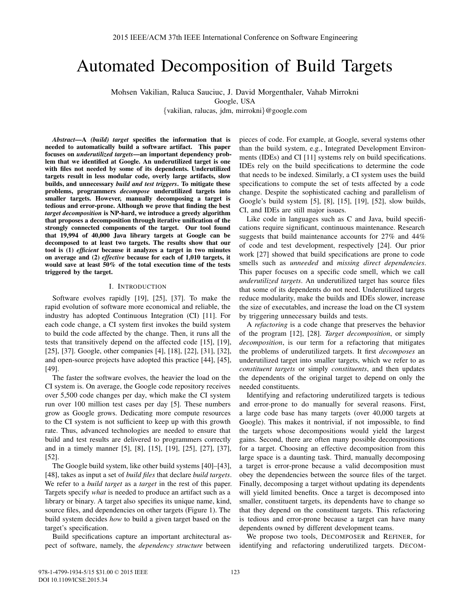# Automated Decomposition of Build Targets

Mohsen Vakilian, Raluca Sauciuc, J. David Morgenthaler, Vahab Mirrokni

[G](mailto:ralucas@google.com)[oogl](mailto:jdm@google.com)[e, USA](mailto:mirrokni@google.com)

{vakilian, ralucas, jdm, mirrokni}@google.com

*Abstract*—A *(build) target* specifies the information that is needed to automatically build a software artifact. This paper focuses on *underutilized targets*—an important dependency problem that we identified at Google. An underutilized target is one with files not needed by some of its dependents. Underutilized targets result in less modular code, overly large artifacts, slow builds, and unnecessary *build and test triggers*. To mitigate these problems, programmers *decompose* underutilized targets into smaller targets. However, manually decomposing a target is tedious and error-prone. Although we prove that finding the best *target decomposition* is NP-hard, we introduce a greedy algorithm that proposes a decomposition through iterative unification of the strongly connected components of the target. Our tool found that 19,994 of 40,000 Java library targets at Google can be decomposed to at least two targets. The results show that our tool is (1) *efficient* because it analyzes a target in two minutes on average and (2) *effective* because for each of 1,010 targets, it would save at least 50% of the total execution time of the tests triggered by the target.

# I. INTRODUCTION

Software evolves rapidly [19], [25], [37]. To make the rapid evolution of software more economical and reliable, the industry has adopted Continuous Integration (CI) [11]. For each code change, a CI system first invokes the build system to build the code affected by the change. Then, it runs all the tests that transitively depend on the affected code [15], [19], [25], [37]. Google, other companies [4], [18], [22], [31], [32], and open-source projects have adopted this practice [44], [45], [49].

The faster the software evolves, the heavier the load on the CI system is. On average, the Google code repository receives over 5,500 code changes per day, which make the CI system run over 100 million test cases per day [5]. These numbers grow as Google grows. Dedicating more compute resources to the CI system is not sufficient to keep up with this growth rate. Thus, advanced technologies are needed to ensure that build and test results are delivered to programmers correctly and in a timely manner [5], [8], [15], [19], [25], [27], [37], [52].

The Google build system, like other build systems [40]–[43], [48], takes as input a set of *build files* that declare *build targets*. We refer to a *build target* as a *target* in the rest of this paper. Targets specify *what* is needed to produce an artifact such as a library or binary. A target also specifies its unique name, kind, source files, and dependencies on other targets (Figure 1). The build system decides *how* to build a given target based on the target's specification.

Build specifications capture an important architectural aspect of software, namely, the *dependency structure* between

pieces of code. For example, at Google, several systems other than the build system, e.g., Integrated Development Environments (IDEs) and CI [11] systems rely on build specifications. IDEs rely on the build specifications to determine the code that needs to be indexed. Similarly, a CI system uses the build specifications to compute the set of tests affected by a code change. Despite the sophisticated caching and parallelism of Google's build system [5], [8], [15], [19], [52], slow builds, CI, and IDEs are still major issues.

Like code in languages such as C and Java, build specifications require significant, continuous maintenance. Research suggests that build maintenance accounts for 27% and 44% of code and test development, respectively [24]. Our prior work [27] showed that build specifications are prone to code smells such as *unneeded* and *missing direct dependencies*. This paper focuses on a specific code smell, which we call *underutilized targets*. An underutilized target has source files that some of its dependents do not need. Underutilized targets reduce modularity, make the builds and IDEs slower, increase the size of executables, and increase the load on the CI system by triggering unnecessary builds and tests.

A *refactoring* is a code change that preserves the behavior of the program [12], [28]. *Target decomposition*, or simply *decomposition*, is our term for a refactoring that mitigates the problems of underutilized targets. It first *decomposes* an underutilized target into smaller targets, which we refer to as *constituent targets* or simply *constituents*, and then updates the dependents of the original target to depend on only the needed constituents.

Identifying and refactoring underutilized targets is tedious and error-prone to do manually for several reasons. First, a large code base has many targets (over 40,000 targets at Google). This makes it nontrivial, if not impossible, to find the targets whose decompositions would yield the largest gains. Second, there are often many possible decompositions for a target. Choosing an effective decomposition from this large space is a daunting task. Third, manually decomposing a target is error-prone because a valid decomposition must obey the dependencies between the source files of the target. Finally, decomposing a target without updating its dependents will yield limited benefits. Once a target is decomposed into smaller, constituent targets, its dependents have to change so that they depend on the constituent targets. This refactoring is tedious and error-prone because a target can have many dependents owned by different development teams.

We propose two tools, DECOMPOSER and REFINER, for identifying and refactoring underutilized targets. DECOM-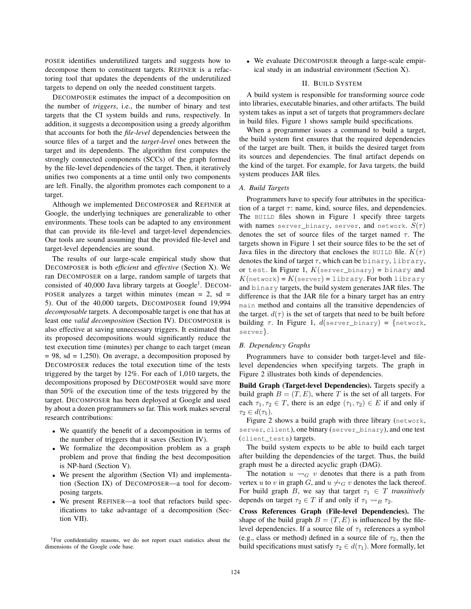POSER identifies underutilized targets and suggests how to decompose them to constituent targets. REFINER is a refactoring tool that updates the dependents of the underutilized targets to depend on only the needed constituent targets.

DECOMPOSER estimates the impact of a decomposition on the number of *triggers*, i.e., the number of binary and test targets that the CI system builds and runs, respectively. In addition, it suggests a decomposition using a greedy algorithm that accounts for both the *file-level* dependencies between the source files of a target and the *target-level* ones between the target and its dependents. The algorithm first computes the strongly connected components (SCCs) of the graph formed by the file-level dependencies of the target. Then, it iteratively unifies two components at a time until only two components are left. Finally, the algorithm promotes each component to a target.

Although we implemented DECOMPOSER and REFINER at Google, the underlying techniques are generalizable to other environments. These tools can be adapted to any environment that can provide its file-level and target-level dependencies. Our tools are sound assuming that the provided file-level and target-level dependencies are sound.

The results of our large-scale empirical study show that DECOMPOSER is both *efficient* and *effective* (Section X). We ran DECOMPOSER on a large, random sample of targets that consisted of 40,000 Java library targets at Google<sup>1</sup>. DECOM-POSER analyzes a target within minutes (mean  $= 2$ , sd  $=$ 5). Out of the 40,000 targets, DECOMPOSER found 19,994 *decomposable* targets. A decomposable target is one that has at least one *valid decomposition* (Section IV). DECOMPOSER is also effective at saving unnecessary triggers. It estimated that its proposed decompositions would significantly reduce the test execution time (minutes) per change to each target (mean  $= 98$ , sd  $= 1,250$ ). On average, a decomposition proposed by DECOMPOSER reduces the total execution time of the tests triggered by the target by 12%. For each of 1,010 targets, the decompositions proposed by DECOMPOSER would save more than 50% of the execution time of the tests triggered by the target. DECOMPOSER has been deployed at Google and used by about a dozen programmers so far. This work makes several research contributions:

- We quantify the benefit of a decomposition in terms of the number of triggers that it saves (Section IV).
- We formalize the decomposition problem as a graph problem and prove that finding the best decomposition is NP-hard (Section V).
- We present the algorithm (Section VI) and implementation (Section IX) of DECOMPOSER—a tool for decomposing targets.
- We present REFINER—a tool that refactors build specifications to take advantage of a decomposition (Section VII).

• We evaluate DECOMPOSER through a large-scale empirical study in an industrial environment (Section X).

# II. BUILD SYSTEM

A build system is responsible for transforming source code into libraries, executable binaries, and other artifacts. The build system takes as input a set of targets that programmers declare in build files. Figure 1 shows sample build specifications.

When a programmer issues a command to build a target, the build system first ensures that the required dependencies of the target are built. Then, it builds the desired target from its sources and dependencies. The final artifact depends on the kind of the target. For example, for Java targets, the build system produces JAR files.

## *A. Build Targets*

Programmers have to specify four attributes in the specification of a target  $\tau$ : name, kind, source files, and dependencies. The BUILD files shown in Figure 1 specify three targets with names server\_binary, server, and network.  $S(\tau)$ denotes the set of source files of the target named  $\tau$ . The targets shown in Figure 1 set their source files to be the set of Java files in the directory that encloses the BUILD file.  $K(\tau)$ denotes the kind of target  $\tau$ , which can be binary, library, or test. In Figure 1,  $K$ (server\_binary) = binary and  $K(\text{network}) = K(\text{server}) = \text{library.}$  For both library and binary targets, the build system generates JAR files. The difference is that the JAR file for a binary target has an entry main method and contains all the transitive dependencies of the target.  $d(\tau)$  is the set of targets that need to be built before building  $\tau$ . In Figure 1,  $d$ (server\_binary) = {network, server}.

## *B. Dependency Graphs*

Programmers have to consider both target-level and filelevel dependencies when specifying targets. The graph in Figure 2 illustrates both kinds of dependencies.

Build Graph (Target-level Dependencies). Targets specify a build graph  $B = (T, E)$ , where T is the set of all targets. For each  $\tau_1, \tau_2 \in T$ , there is an edge  $(\tau_1, \tau_2) \in E$  if and only if  $\tau_2 \in d(\tau_1)$ .

Figure 2 shows a build graph with three library (network, server, client), one binary (server\_binary), and one test (client\_tests) targets.

The build system expects to be able to build each target after building the dependencies of the target. Thus, the build graph must be a directed acyclic graph (DAG).

The notation  $u \rightsquigarrow_G v$  denotes that there is a path from vertex u to v in graph G, and  $u \nrightarrow_G v$  denotes the lack thereof. For build graph B, we say that target  $\tau_1 \in T$  *transitively* depends on target  $\tau_2 \in T$  if and only if  $\tau_1 \rightarrow_{B} \tau_2$ .

Cross References Graph (File-level Dependencies). The shape of the build graph  $B = (T, E)$  is influenced by the filelevel dependencies. If a source file of  $\tau_1$  references a symbol (e.g., class or method) defined in a source file of  $\tau_2$ , then the build specifications must satisfy  $\tau_2 \in d(\tau_1)$ . More formally, let

<sup>1</sup>For confidentiality reasons, we do not report exact statistics about the dimensions of the Google code base.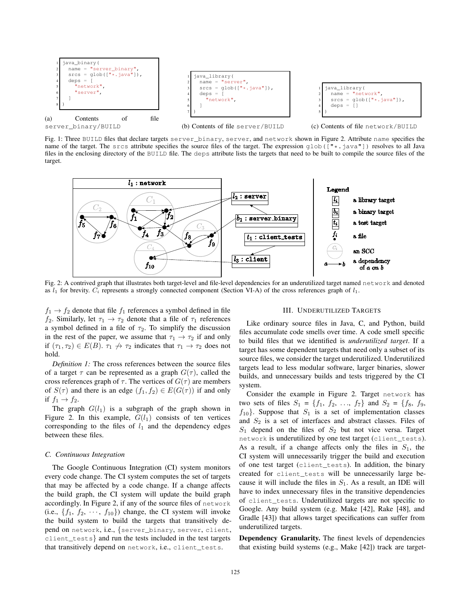

Fig. 1: Three BUILD files that declare targets server\_binary, server, and network shown in Figure 2. Attribute name specifies the name of the target. The srcs attribute specifies the source files of the target. The expression  $qlob([m\star,\cdot]$  resolves to all Java files in the enclosing directory of the BUILD file. The deps attribute lists the targets that need to be built to compile the source files of the target.



Fig. 2: A contrived graph that illustrates both target-level and file-level dependencies for an underutilized target named network and denoted as  $l_1$  for brevity.  $C_i$  represents a strongly connected component (Section VI-A) of the cross references graph of  $l_1$ .

 $f_1 \rightarrow f_2$  denote that file  $f_1$  references a symbol defined in file f<sub>2</sub>. Similarly, let  $\tau_1 \rightarrow \tau_2$  denote that a file of  $\tau_1$  references a symbol defined in a file of  $\tau_2$ . To simplify the discussion in the rest of the paper, we assume that  $\tau_1 \rightarrow \tau_2$  if and only if  $(\tau_1, \tau_2) \in E(B)$ .  $\tau_1 \nrightarrow \tau_2$  indicates that  $\tau_1 \rightarrow \tau_2$  does not hold.

*Definition 1:* The cross references between the source files of a target  $\tau$  can be represented as a graph  $G(\tau)$ , called the cross references graph of  $\tau$ . The vertices of  $G(\tau)$  are members of  $S(\tau)$  and there is an edge  $(f_1, f_2) \in E(G(\tau))$  if and only if  $f_1 \rightarrow f_2$ .

The graph  $G(l_1)$  is a subgraph of the graph shown in Figure 2. In this example,  $G(l_1)$  consists of ten vertices corresponding to the files of  $l_1$  and the dependency edges between these files.

#### *C. Continuous Integration*

The Google Continuous Integration (CI) system monitors every code change. The CI system computes the set of targets that may be affected by a code change. If a change affects the build graph, the CI system will update the build graph accordingly. In Figure 2, if any of the source files of network (i.e.,  $\{f_1, f_2, \cdots, f_{10}\}$ ) change, the CI system will invoke the build system to build the targets that transitively depend on network, i.e., {server\_binary, server, client, client\_tests} and run the tests included in the test targets that transitively depend on network, i.e., client\_tests.

#### III. UNDERUTILIZED TARGETS

Like ordinary source files in Java, C, and Python, build files accumulate code smells over time. A code smell specific to build files that we identified is *underutilized target*. If a target has some dependent targets that need only a subset of its source files, we consider the target underutilized. Underutilized targets lead to less modular software, larger binaries, slower builds, and unnecessary builds and tests triggered by the CI system.

Consider the example in Figure 2. Target network has two sets of files  $S_1 = \{f_1, f_2, ..., f_7\}$  and  $S_2 = \{f_8, f_9,$  $f_{10}$ . Suppose that  $S_1$  is a set of implementation classes and  $S_2$  is a set of interfaces and abstract classes. Files of  $S_1$  depend on the files of  $S_2$  but not vice versa. Target network is underutilized by one test target (client\_tests). As a result, if a change affects only the files in  $S_1$ , the CI system will unnecessarily trigger the build and execution of one test target (client\_tests). In addition, the binary created for client\_tests will be unnecessarily large because it will include the files in  $S_1$ . As a result, an IDE will have to index unnecessary files in the transitive dependencies of client\_tests. Underutilized targets are not specific to Google. Any build system (e.g. Make [42], Rake [48], and Gradle [43]) that allows target specifications can suffer from underutilized targets.

Dependency Granularity. The finest levels of dependencies that existing build systems (e.g., Make [42]) track are target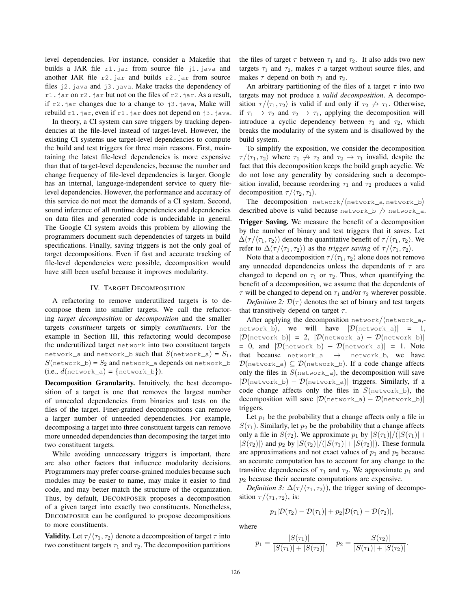level dependencies. For instance, consider a Makefile that builds a JAR file  $r1$ . jar from source file j1. java and another JAR file  $r2$ , jar and builds r2, jar from source files j2.java and j3.java. Make tracks the dependency of r1. jar on r2. jar but not on the files of r2. jar. As a result, if  $r^2$ . jar changes due to a change to j3. java, Make will rebuild  $r1$ . jar, even if  $r1$ . jar does not depend on j3. java.

In theory, a CI system can save triggers by tracking dependencies at the file-level instead of target-level. However, the existing CI systems use target-level dependencies to compute the build and test triggers for three main reasons. First, maintaining the latest file-level dependencies is more expensive than that of target-level dependencies, because the number and change frequency of file-level dependencies is larger. Google has an internal, language-independent service to query filelevel dependencies. However, the performance and accuracy of this service do not meet the demands of a CI system. Second, sound inference of all runtime dependencies and dependencies on data files and generated code is undecidable in general. The Google CI system avoids this problem by allowing the programmers document such dependencies of targets in build specifications. Finally, saving triggers is not the only goal of target decompositions. Even if fast and accurate tracking of file-level dependencies were possible, decomposition would have still been useful because it improves modularity.

## IV. TARGET DECOMPOSITION

A refactoring to remove underutilized targets is to decompose them into smaller targets. We call the refactoring *target decomposition* or *decomposition* and the smaller targets *constituent* targets or simply *constituents*. For the example in Section III, this refactoring would decompose the underutilized target network into two constituent targets network\_a and network\_b such that  $S(\text{network}_a) = S_1$ ,  $S(\text{network\_b}) = S_2$  and  $\text{network\_a}$  depends on  $\text{network\_b}$  $(i.e., d(network_a) = {network_b}).$ 

Decomposition Granularity. Intuitively, the best decomposition of a target is one that removes the largest number of unneeded dependencies from binaries and tests on the files of the target. Finer-grained decompositions can remove a larger number of unneeded dependencies. For example, decomposing a target into three constituent targets can remove more unneeded dependencies than decomposing the target into two constituent targets.

While avoiding unnecessary triggers is important, there are also other factors that influence modularity decisions. Programmers may prefer coarse-grained modules because such modules may be easier to name, may make it easier to find code, and may better match the structure of the organization. Thus, by default, DECOMPOSER proposes a decomposition of a given target into exactly two constituents. Nonetheless, DECOMPOSER can be configured to propose decompositions to more constituents.

**Validity.** Let  $\tau/\langle \tau_1, \tau_2 \rangle$  denote a decomposition of target  $\tau$  into two constituent targets  $\tau_1$  and  $\tau_2$ . The decomposition partitions

the files of target  $\tau$  between  $\tau_1$  and  $\tau_2$ . It also adds two new targets  $\tau_1$  and  $\tau_2$ , makes  $\tau$  a target without source files, and makes  $\tau$  depend on both  $\tau_1$  and  $\tau_2$ .

An arbitrary partitioning of the files of a target  $\tau$  into two targets may not produce a *valid decomposition*. A decomposition  $\tau/\langle \tau_1, \tau_2 \rangle$  is valid if and only if  $\tau_2 \nightharpoonup \tau_1$ . Otherwise, if  $\tau_1 \rightarrow \tau_2$  and  $\tau_2 \rightarrow \tau_1$ , applying the decomposition will introduce a cyclic dependency between  $\tau_1$  and  $\tau_2$ , which breaks the modularity of the system and is disallowed by the build system.

To simplify the exposition, we consider the decomposition  $\tau/\langle \tau_1, \tau_2 \rangle$  where  $\tau_1 \nrightarrow \tau_2$  and  $\tau_2 \rightarrow \tau_1$  invalid, despite the fact that this decomposition keeps the build graph acyclic. We do not lose any generality by considering such a decomposition invalid, because reordering  $\tau_1$  and  $\tau_2$  produces a valid decomposition  $\tau / \langle \tau_2, \tau_1 \rangle$ .

The decomposition  $network/(network_a, network_b)$ described above is valid because network\_b  $\rightarrow$  network\_a.

Trigger Saving. We measure the benefit of a decomposition by the number of binary and test triggers that it saves. Let  $\Delta(\tau/\langle \tau_1, \tau_2 \rangle)$  denote the quantitative benefit of  $\tau/\langle \tau_1, \tau_2 \rangle$ . We refer to  $\Delta(\tau/\langle \tau_1, \tau_2 \rangle)$  as the *trigger saving* of  $\tau/\langle \tau_1, \tau_2 \rangle$ .

Note that a decomposition  $\tau / \langle \tau_1, \tau_2 \rangle$  alone does not remove any unneeded dependencies unless the dependents of  $\tau$  are changed to depend on  $\tau_1$  or  $\tau_2$ . Thus, when quantifying the benefit of a decomposition, we assume that the dependents of  $\tau$  will be changed to depend on  $\tau_1$  and/or  $\tau_2$  wherever possible.

*Definition 2:*  $\mathcal{D}(\tau)$  denotes the set of binary and test targets that transitively depend on target  $\tau$ .

After applying the decomposition  $network/(network_a,$ network\_b), we will have  $|\mathcal{D}(\text{network}_a)| = 1$ ,  $|\mathcal{D}(\text{network}\_\text{b})| = 2$ ,  $|\mathcal{D}(\text{network}\_\text{a}) - \mathcal{D}(\text{network}\_\text{b})|$ = 0, and  $|\mathcal{D}(\text{network}_b) - \mathcal{D}(\text{network}_a)| = 1$ . Note that because  $network_a \rightarrow network_b$ , we have  $\mathcal{D}(\text{network}_a) \subseteq \mathcal{D}(\text{network}_b)$ . If a code change affects only the files in  $S(\text{network}_a)$ , the decomposition will save  $|\mathcal{D}(\text{network}_b) - \mathcal{D}(\text{network}_a)|$  triggers. Similarly, if a code change affects only the files in  $S(\text{network}\_\text{b})$ , the decomposition will save  $|\mathcal{D}(\text{network}_a) - \mathcal{D}(\text{network}_b)|$ triggers.

Let  $p_1$  be the probability that a change affects only a file in  $S(\tau_1)$ . Similarly, let  $p_2$  be the probability that a change affects only a file in  $S(\tau_2)$ . We approximate  $p_1$  by  $|S(\tau_1)|/(|S(\tau_1)|+$  $|S(\tau_2)|$  and  $p_2$  by  $|S(\tau_2)|/(|S(\tau_1)|+|S(\tau_2)|)$ . These formula are approximations and not exact values of  $p_1$  and  $p_2$  because an accurate computation has to account for any change to the transitive dependencies of  $\tau_1$  and  $\tau_2$ . We approximate  $p_1$  and  $p_2$  because their accurate computations are expensive.

*Definition 3:*  $\Delta(\tau/\langle \tau_1, \tau_2 \rangle)$ , the trigger saving of decomposition  $\tau / \langle \tau_1, \tau_2 \rangle$ , is:

$$
p_1|\mathcal{D}(\tau_2)-\mathcal{D}(\tau_1)|+p_2|\mathcal{D}(\tau_1)-\mathcal{D}(\tau_2)|,
$$

where

$$
p_1 = \frac{|S(\tau_1)|}{|S(\tau_1)| + |S(\tau_2)|}, \quad p_2 = \frac{|S(\tau_2)|}{|S(\tau_1)| + |S(\tau_2)|}.
$$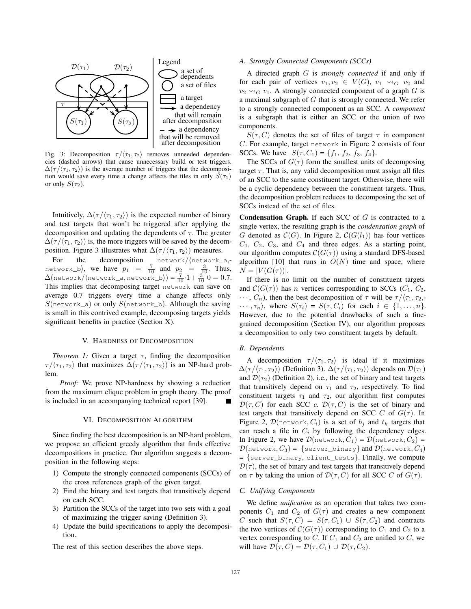

Fig. 3: Decomposition  $\tau / \langle \tau_1, \tau_2 \rangle$  removes unneeded dependencies (dashed arrows) that cause unnecessary build or test triggers.  $\Delta(\tau/ \langle \tau_1, \tau_2 \rangle)$  is the average number of triggers that the decomposition would save every time a change affects the files in only  $S(\tau_1)$ or only  $S(\tau_2)$ .

Intuitively,  $\Delta(\tau/\langle \tau_1, \tau_2 \rangle)$  is the expected number of binary and test targets that won't be triggered after applying the decomposition and updating the dependents of  $\tau$ . The greater  $\Delta(\tau/\langle \tau_1, \tau_2 \rangle)$  is, the more triggers will be saved by the decomposition. Figure 3 illustrates what  $\Delta(\tau/\langle \tau_1, \tau_2 \rangle)$  measures.

For the decomposition  $network/(network_a,$ network\_b), we have  $p_1 = \frac{7}{10}$  and  $p_2 = \frac{3}{10}$ . Thus,  $\Delta$ (network/ $\langle$ network\_a, network\_b $\rangle$ ) =  $\frac{7}{10} \cdot 1 + \frac{3}{10} \cdot 0 = 0.7$ . This implies that decomposing target network can save on average 0.7 triggers every time a change affects only  $S(\text{network}_a)$  or only  $S(\text{network}_b)$ . Although the saving is small in this contrived example, decomposing targets yields significant benefits in practice (Section X).

#### V. HARDNESS OF DECOMPOSITION

*Theorem 1:* Given a target  $\tau$ , finding the decomposition  $\tau / \langle \tau_1, \tau_2 \rangle$  that maximizes  $\Delta(\tau / \langle \tau_1, \tau_2 \rangle)$  is an NP-hard problem.

*Proof:* We prove NP-hardness by showing a reduction from the maximum clique problem in graph theory. The proof is included in an accompanying technical report [39].

## VI. DECOMPOSITION ALGORITHM

Since finding the best decomposition is an NP-hard problem, we propose an efficient greedy algorithm that finds effective decompositions in practice. Our algorithm suggests a decomposition in the following steps:

- 1) Compute the strongly connected components (SCCs) of the cross references graph of the given target.
- 2) Find the binary and test targets that transitively depend on each SCC.
- 3) Partition the SCCs of the target into two sets with a goal of maximizing the trigger saving (Definition 3).
- 4) Update the build specifications to apply the decomposition.

The rest of this section describes the above steps.

### *A. Strongly Connected Components (SCCs)*

A directed graph G is *strongly connected* if and only if for each pair of vertices  $v_1, v_2 \in V(G)$ ,  $v_1 \rightsquigarrow_G v_2$  and  $v_2 \rightarrow_{G} v_1$ . A strongly connected component of a graph G is a maximal subgraph of G that is strongly connected. We refer to a strongly connected component as an SCC. A *component* is a subgraph that is either an SCC or the union of two components.

 $S(\tau, C)$  denotes the set of files of target  $\tau$  in component C. For example, target network in Figure 2 consists of four SCCs. We have  $S(\tau, C_1) = \{f_1, f_2, f_3, f_4\}.$ 

The SCCs of  $G(\tau)$  form the smallest units of decomposing target  $\tau$ . That is, any valid decomposition must assign all files of an SCC to the same constituent target. Otherwise, there will be a cyclic dependency between the constituent targets. Thus, the decomposition problem reduces to decomposing the set of SCCs instead of the set of files.

**Condensation Graph.** If each SCC of  $G$  is contracted to a single vertex, the resulting graph is the *condensation graph* of G denoted as  $C(G)$ . In Figure 2,  $C(G(l_1))$  has four vertices  $C_1$ ,  $C_2$ ,  $C_3$ , and  $C_4$  and three edges. As a starting point, our algorithm computes  $C(G(\tau))$  using a standard DFS-based algorithm [10] that runs in  $O(N)$  time and space, where  $N = |V(G(\tau))|$ .

If there is no limit on the number of constituent targets and  $\mathcal{C}(G(\tau))$  has *n* vertices corresponding to SCCs ( $C_1$ ,  $C_2$ ,  $\cdots$ ,  $C_n$ ), then the best decomposition of  $\tau$  will be  $\tau/\langle \tau_1, \tau_2, \cdot \rangle$  $\cdots, \tau_n$ , where  $S(\tau_i) = S(\tau, C_i)$  for each  $i \in \{1, \ldots, n\}.$ However, due to the potential drawbacks of such a finegrained decomposition (Section IV), our algorithm proposes a decomposition to only two constituent targets by default.

#### *B. Dependents*

A decomposition  $\tau/\langle \tau_1, \tau_2 \rangle$  is ideal if it maximizes  $\Delta(\tau/\langle \tau_1, \tau_2 \rangle)$  (Definition 3).  $\Delta(\tau/\langle \tau_1, \tau_2 \rangle)$  depends on  $\mathcal{D}(\tau_1)$ and  $\mathcal{D}(\tau_2)$  (Definition 2), i.e., the set of binary and test targets that transitively depend on  $\tau_1$  and  $\tau_2$ , respectively. To find constituent targets  $\tau_1$  and  $\tau_2$ , our algorithm first computes  $\mathcal{D}(\tau, C)$  for each SCC c.  $\mathcal{D}(\tau, C)$  is the set of binary and test targets that transitively depend on SCC C of  $G(\tau)$ . In Figure 2,  $\mathcal{D}$ (network,  $C_i$ ) is a set of  $b_j$  and  $t_k$  targets that can reach a file in  $C_i$  by following the dependency edges. In Figure 2, we have  $\mathcal{D}(\text{network}, C_1) = \mathcal{D}(\text{network}, C_2) =$  $\mathcal{D}(\text{network}, C_3) = \{\text{server\_binary}\}\text{ and }\mathcal{D}(\text{network}, C_4)$ = {server\_binary, client\_tests}. Finally, we compute  $\mathcal{D}(\tau)$ , the set of binary and test targets that transitively depend on  $\tau$  by taking the union of  $\mathcal{D}(\tau, C)$  for all SCC C of  $G(\tau)$ .

#### *C. Unifying Components*

We define *unification* as an operation that takes two components  $C_1$  and  $C_2$  of  $G(\tau)$  and creates a new component C such that  $S(\tau, C) = S(\tau, C_1) \cup S(\tau, C_2)$  and contracts the two vertices of  $C(G(\tau))$  corresponding to  $C_1$  and  $C_2$  to a vertex corresponding to C. If  $C_1$  and  $C_2$  are unified to C, we will have  $\mathcal{D}(\tau, C) = \mathcal{D}(\tau, C_1) \cup \mathcal{D}(\tau, C_2)$ .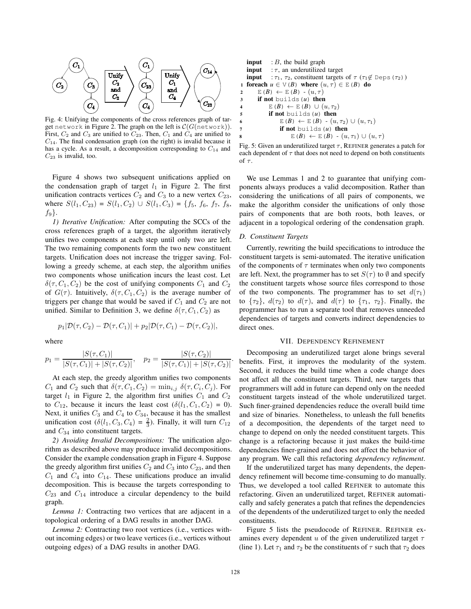

Fig. 4: Unifying the components of the cross references graph of target network in Figure 2. The graph on the left is  $C(G(\text{network}))$ . First,  $C_2$  and  $C_3$  are unified to  $C_{23}$ . Then,  $C_1$  and  $C_4$  are unified to  $C_{14}$ . The final condensation graph (on the right) is invalid because it has a cycle. As a result, a decomposition corresponding to  $C_{14}$  and  $C_{23}$  is invalid, too.

Figure 4 shows two subsequent unifications applied on the condensation graph of target  $l_1$  in Figure 2. The first unification contracts vertices  $C_2$  and  $C_3$  to a new vertex  $C_{23}$ , where  $S(l_1, C_{23}) = S(l_1, C_2) \cup S(l_1, C_3) = \{f_5, f_6, f_7, f_8,$  $f_9$ .

*1) Iterative Unification:* After computing the SCCs of the cross references graph of a target, the algorithm iteratively unifies two components at each step until only two are left. The two remaining components form the two new constituent targets. Unification does not increase the trigger saving. Following a greedy scheme, at each step, the algorithm unifies two components whose unification incurs the least cost. Let  $\delta(\tau, C_1, C_2)$  be the cost of unifying components  $C_1$  and  $C_2$ of  $G(\tau)$ . Intuitively,  $\delta(\tau, C_1, C_2)$  is the average number of triggers per change that would be saved if  $C_1$  and  $C_2$  are not unified. Similar to Definition 3, we define  $\delta(\tau, C_1, C_2)$  as

$$
p_1|\mathcal{D}(\tau,C_2)-\mathcal{D}(\tau,C_1)|+p_2|\mathcal{D}(\tau,C_1)-\mathcal{D}(\tau,C_2)|,
$$

where

$$
p_1 = \frac{|S(\tau, C_1)|}{|S(\tau, C_1)| + |S(\tau, C_2)|}, \quad p_2 = \frac{|S(\tau, C_2)|}{|S(\tau, C_1)| + |S(\tau, C_2)|}
$$

At each step, the greedy algorithm unifies two components  $C_1$  and  $C_2$  such that  $\delta(\tau, C_1, C_2) = \min_{i,j} \delta(\tau, C_i, C_j)$ . For target  $l_1$  in Figure 2, the algorithm first unifies  $C_1$  and  $C_2$ to  $C_{12}$ , because it incurs the least cost  $(\delta(l_1, C_1, C_2) = 0)$ . Next, it unifies  $C_3$  and  $C_4$  to  $C_{34}$ , because it has the smallest unification cost  $(\delta(l_1, C_3, C_4) = \frac{2}{3})$ . Finally, it will turn  $C_{12}$ and C<sup>34</sup> into constituent targets.

*2) Avoiding Invalid Decompositions:* The unification algorithm as described above may produce invalid decompositions. Consider the example condensation graph in Figure 4. Suppose the greedy algorithm first unifies  $C_2$  and  $C_3$  into  $C_{23}$ , and then  $C_1$  and  $C_4$  into  $C_{14}$ . These unifications produce an invalid decomposition. This is because the targets corresponding to  $C_{23}$  and  $C_{14}$  introduce a circular dependency to the build graph.

*Lemma 1:* Contracting two vertices that are adjacent in a topological ordering of a DAG results in another DAG.

*Lemma 2:* Contracting two root vertices (i.e., vertices without incoming edges) or two leave vertices (i.e., vertices without outgoing edges) of a DAG results in another DAG.

```
input : B, the build graph
   input : \tau, an underutilized target
   input : \tau_1, \tau_2, constituent targets of \tau (\tau_1 \notin \text{Deps}(\tau_2))
1 foreach u \in \mathcal{V}(B) where (u, \tau) \in \mathcal{E}(B) do
2 E(B) \leftarrow E(B) - (u, \tau)3 if not builds(u) then
4 \mathbb{E}(B) \leftarrow \mathbb{E}(B) \cup (u, \tau_2)5 if not builds(u) then
6 E(B) \leftarrow E(B) - (u, \tau_2) \cup (u, \tau_1)7 if not builds(u) then
                     E(B) \leftarrow E(B) - (u, \tau_1) \cup (u, \tau)
```
Fig. 5: Given an underutilized target  $\tau$ , REFINER generates a patch for each dependent of  $\tau$  that does not need to depend on both constituents of  $\tau$ .

We use Lemmas 1 and 2 to guarantee that unifying components always produces a valid decomposition. Rather than considering the unifications of all pairs of components, we make the algorithm consider the unifications of only those pairs of components that are both roots, both leaves, or adjacent in a topological ordering of the condensation graph.

## *D. Constituent Targets*

Currently, rewriting the build specifications to introduce the constituent targets is semi-automated. The iterative unification of the components of  $\tau$  terminates when only two components are left. Next, the programmer has to set  $S(\tau)$  to  $\emptyset$  and specify the constituent targets whose source files correspond to those of the two components. The programmer has to set  $d(\tau_1)$ to  $\{\tau_2\}$ ,  $d(\tau_2)$  to  $d(\tau)$ , and  $d(\tau)$  to  $\{\tau_1, \tau_2\}$ . Finally, the programmer has to run a separate tool that removes unneeded dependencies of targets and converts indirect dependencies to direct ones.

## VII. DEPENDENCY REFINEMENT

Decomposing an underutilized target alone brings several benefits. First, it improves the modularity of the system. Second, it reduces the build time when a code change does not affect all the constituent targets. Third, new targets that programmers will add in future can depend only on the needed constituent targets instead of the whole underutilized target. Such finer-grained dependencies reduce the overall build time and size of binaries. Nonetheless, to unleash the full benefits of a decomposition, the dependents of the target need to change to depend on only the needed constituent targets. This change is a refactoring because it just makes the build-time dependencies finer-grained and does not affect the behavior of any program. We call this refactoring *dependency refinement*.

If the underutilized target has many dependents, the dependency refinement will become time-consuming to do manually. Thus, we developed a tool called REFINER to automate this refactoring. Given an underutilized target, REFINER automatically and safely generates a patch that refines the dependencies of the dependents of the underutilized target to only the needed constituents.

Figure 5 lists the pseudocode of REFINER. REFINER examines every dependent u of the given underutilized target  $\tau$ (line 1). Let  $\tau_1$  and  $\tau_2$  be the constituents of  $\tau$  such that  $\tau_2$  does

.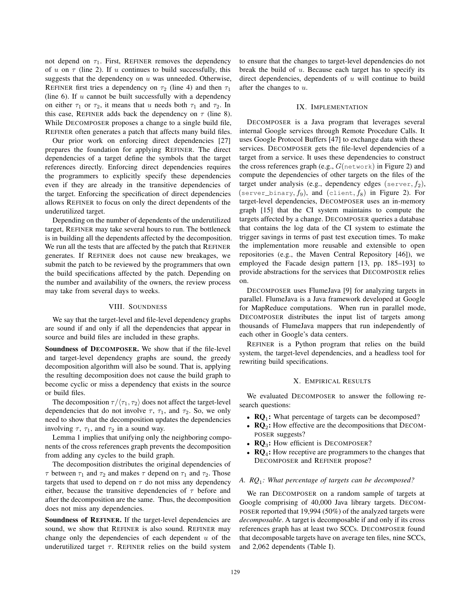not depend on  $\tau_1$ . First, REFINER removes the dependency of u on  $\tau$  (line 2). If u continues to build successfully, this suggests that the dependency on  $u$  was unneeded. Otherwise, REFINER first tries a dependency on  $\tau_2$  (line 4) and then  $\tau_1$ (line  $6$ ). If  $u$  cannot be built successfully with a dependency on either  $\tau_1$  or  $\tau_2$ , it means that u needs both  $\tau_1$  and  $\tau_2$ . In this case, REFINER adds back the dependency on  $\tau$  (line 8). While DECOMPOSER proposes a change to a single build file, REFINER often generates a patch that affects many build files.

Our prior work on enforcing direct dependencies [27] prepares the foundation for applying REFINER. The direct dependencies of a target define the symbols that the target references directly. Enforcing direct dependencies requires the programmers to explicitly specify these dependencies even if they are already in the transitive dependencies of the target. Enforcing the specification of direct dependencies allows REFINER to focus on only the direct dependents of the underutilized target.

Depending on the number of dependents of the underutilized target, REFINER may take several hours to run. The bottleneck is in building all the dependents affected by the decomposition. We run all the tests that are affected by the patch that REFINER generates. If REFINER does not cause new breakages, we submit the patch to be reviewed by the programmers that own the build specifications affected by the patch. Depending on the number and availability of the owners, the review process may take from several days to weeks.

## VIII. SOUNDNESS

We say that the target-level and file-level dependency graphs are sound if and only if all the dependencies that appear in source and build files are included in these graphs.

Soundness of DECOMPOSER. We show that if the file-level and target-level dependency graphs are sound, the greedy decomposition algorithm will also be sound. That is, applying the resulting decomposition does not cause the build graph to become cyclic or miss a dependency that exists in the source or build files.

The decomposition  $\tau/\langle \tau_1, \tau_2 \rangle$  does not affect the target-level dependencies that do not involve  $\tau$ ,  $\tau_1$ , and  $\tau_2$ . So, we only need to show that the decomposition updates the dependencies involving  $\tau$ ,  $\tau_1$ , and  $\tau_2$  in a sound way.

Lemma 1 implies that unifying only the neighboring components of the cross references graph prevents the decomposition from adding any cycles to the build graph.

The decomposition distributes the original dependencies of  $\tau$  between  $\tau_1$  and  $\tau_2$  and makes  $\tau$  depend on  $\tau_1$  and  $\tau_2$ . Those targets that used to depend on  $\tau$  do not miss any dependency either, because the transitive dependencies of  $\tau$  before and after the decomposition are the same. Thus, the decomposition does not miss any dependencies.

Soundness of REFINER. If the target-level dependencies are sound, we show that REFINER is also sound. REFINER may change only the dependencies of each dependent  $u$  of the underutilized target  $\tau$ . REFINER relies on the build system to ensure that the changes to target-level dependencies do not break the build of  $u$ . Because each target has to specify its direct dependencies, dependents of  $u$  will continue to build after the changes to u.

## IX. IMPLEMENTATION

DECOMPOSER is a Java program that leverages several internal Google services through Remote Procedure Calls. It uses Google Protocol Buffers [47] to exchange data with these services. DECOMPOSER gets the file-level dependencies of a target from a service. It uses these dependencies to construct the cross references graph (e.g.,  $G$ (network) in Figure 2) and compute the dependencies of other targets on the files of the target under analysis (e.g., dependency edges (server,  $f_2$ ), (server\_binary,  $f_9$ ), and (client,  $f_8$ ) in Figure 2). For target-level dependencies, DECOMPOSER uses an in-memory graph [15] that the CI system maintains to compute the targets affected by a change. DECOMPOSER queries a database that contains the log data of the CI system to estimate the trigger savings in terms of past test execution times. To make the implementation more reusable and extensible to open repositories (e.g., the Maven Central Repository [46]), we employed the Facade design pattern [13, pp. 185–193] to provide abstractions for the services that DECOMPOSER relies on.

DECOMPOSER uses FlumeJava [9] for analyzing targets in parallel. FlumeJava is a Java framework developed at Google for MapReduce computations. When run in parallel mode, DECOMPOSER distributes the input list of targets among thousands of FlumeJava mappers that run independently of each other in Google's data centers.

REFINER is a Python program that relies on the build system, the target-level dependencies, and a headless tool for rewriting build specifications.

# X. EMPIRICAL RESULTS

We evaluated DECOMPOSER to answer the following research questions:

- $\mathbb{R}Q_1$ : What percentage of targets can be decomposed?
- $\mathbf{R} \mathbf{Q}_2$ : How effective are the decompositions that DECOM-POSER suggests?
- $\mathbf{RQ}_3$ : How efficient is DECOMPOSER?
- $\mathbf{R}\mathbf{Q}_4$ : How receptive are programmers to the changes that DECOMPOSER and REFINER propose?

## *A. RQ*<sup>1</sup> *: What percentage of targets can be decomposed?*

We ran DECOMPOSER on a random sample of targets at Google comprising of 40,000 Java library targets. DECOM-POSER reported that 19,994 (50%) of the analyzed targets were *decomposable*. A target is decomposable if and only if its cross references graph has at least two SCCs. DECOMPOSER found that decomposable targets have on average ten files, nine SCCs, and 2,062 dependents (Table I).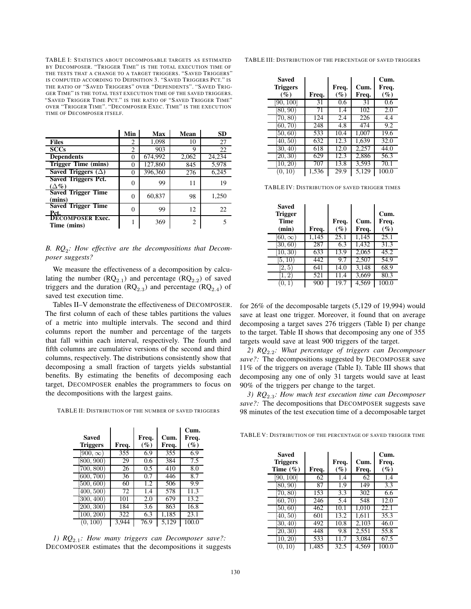TABLE I: STATISTICS ABOUT DECOMPOSABLE TARGETS AS ESTIMATED BY DECOMPOSER. "TRIGGER TIME" IS THE TOTAL EXECUTION TIME OF THE TESTS THAT A CHANGE TO A TARGET TRIGGERS. "SAVED TRIGGERS" IS COMPUTED ACCORDING TO DEFINITION 3. "SAVED TRIGGERS PCT." IS THE RATIO OF "SAVED TRIGGERS" OVER "DEPENDENTS". "SAVED TRIG-GER TIME" IS THE TOTAL TEST EXECUTION TIME OF THE SAVED TRIGGERS. "SAVED TRIGGER TIME PCT." IS THE RATIO OF "SAVED TRIGGER TIME" OVER "TRIGGER TIME". "DECOMPOSER EXEC. TIME" IS THE EXECUTION TIME OF DECOMPOSER ITSELF.

|                                              | Min      | Max     | Mean  | <b>SD</b> |
|----------------------------------------------|----------|---------|-------|-----------|
| <b>Files</b>                                 | 2        | 1,098   | 10    | 27        |
| <b>SCCs</b>                                  | 2        | 903     | 9     | 22        |
| <b>Dependents</b>                            | $\Omega$ | 674,992 | 2,062 | 24,234    |
| Trigger Time (mins)                          | $\Omega$ | 127,860 | 845   | 5,978     |
| Saved Triggers $(\Delta)$                    | $\Omega$ | 396,360 | 276   | 6,245     |
| <b>Saved Triggers Pct.</b><br>$(\Delta \% )$ | 0        | 99      | 11    | 19        |
| <b>Saved Trigger Time</b><br>(mins)          | $\Omega$ | 60,837  | 98    | 1,250     |
| <b>Saved Trigger Time</b>                    | 0        | 99      | 12    | 22        |
| Pct.<br>DECOMPOSER Exec.<br>Time (mins)      |          | 369     | 2     | 5         |

# *B. RQ*<sup>2</sup> *: How effective are the decompositions that Decomposer suggests?*

We measure the effectiveness of a decomposition by calculating the number  $(RQ_{2,1})$  and percentage  $(RQ_{2,2})$  of saved triggers and the duration  $(RQ_{2,3})$  and percentage  $(RQ_{2,4})$  of saved test execution time.

Tables II–V demonstrate the effectiveness of DECOMPOSER. The first column of each of these tables partitions the values of a metric into multiple intervals. The second and third columns report the number and percentage of the targets that fall within each interval, respectively. The fourth and fifth columns are cumulative versions of the second and third columns, respectively. The distributions consistently show that decomposing a small fraction of targets yields substantial benefits. By estimating the benefits of decomposing each target, DECOMPOSER enables the programmers to focus on the decompositions with the largest gains.

TABLE II: DISTRIBUTION OF THE NUMBER OF SAVED TRIGGERS

| <b>Saved</b><br><b>Triggers</b> | Freq. | Freq.<br>$(\%)$  | Cum.<br>Freq. | Cum.<br>Freq.<br>$(\%)$ |
|---------------------------------|-------|------------------|---------------|-------------------------|
| $\overline{[900}, \infty)$      | 355   | 6.9              | 355           | 6.9                     |
| (800, 900)                      | 29    | $\overline{0.6}$ | 384           | $\overline{7.5}$        |
| (700, 800)                      | 26    | $\overline{0.5}$ | 410           | 8.0                     |
| [600, 700)                      | 36    | 0.7              | 446           | 8.7                     |
| 500, 600)                       | 60    | 1.2              | 506           | 9.9                     |
| (400, 500)                      | 72    | 1.4              | 578           | 11.3                    |
| (300, 400)                      | 101   | 2.0              | 679           | 13.2                    |
| (200, 300)                      | 184   | 3.6              | 863           | 16.8                    |
| (100, 200)                      | 322   | 6.3              | 1,185         | 23.1                    |
| (0,100)                         | 3.944 | 76.9             | 5.129         | 100.0                   |

*1) RQ*<sup>2</sup>.<sup>1</sup> *: How many triggers can Decomposer save?:* DECOMPOSER estimates that the decompositions it suggests TABLE III: DISTRIBUTION OF THE PERCENTAGE OF SAVED TRIGGERS

| <b>Saved</b><br><b>Triggers</b><br>$(\%)$ | Freq. | Freq.<br>$(\%)$ | Cum.<br>Freq. | Cum.<br>Freq.<br>$(\%)$ |
|-------------------------------------------|-------|-----------------|---------------|-------------------------|
| [90, 100]                                 | 31    | 0.6             | 31            | 0.6                     |
| (80, 90)                                  | 71    | 1.4             | 102           | 2.0                     |
| (70, 80)                                  | 124   | 2.4             | 226           | 4.4                     |
| (60, 70)                                  | 248   | 4.8             | 474           | 9.2                     |
| [50, 60)                                  | 533   | 10.4            | 1.007         | 19.6                    |
| (40, 50)                                  | 632   | 12.3            | 1.639         | 32.0                    |
| (30, 40)                                  | 618   | 12.0            | 2,257         | 44.0                    |
| (20, 30)                                  | 629   | 12.3            | 2,886         | 56.3                    |
| (10, 20)                                  | 707   | 13.8            | 3,593         | 70.1                    |
| (0, 10)                                   | 1,536 | 29.9            | 5,129         | 100.0                   |

TABLE IV: DISTRIBUTION OF SAVED TRIGGER TIMES

| <b>Saved</b><br><b>Trigger</b><br>Time<br>(min) | Freq. | Freq.<br>$(\%)$  | Cum.<br>Freq. | Cum.<br>Freq.<br>$(\%)$ |
|-------------------------------------------------|-------|------------------|---------------|-------------------------|
| $\overline{60,\infty})$                         | 1,145 | 25.1             | 1,145         | 25.1                    |
| (30, 60)                                        | 287   | $\overline{6.3}$ | 1.432         | 31.3                    |
| (10, 30)                                        | 633   | 13.9             | 2,065         | 45.2                    |
| (5, 10)                                         | 442   | 9.7              | 2,507         | 54.9                    |
| (2, 5)                                          | 641   | 14.0             | 3.148         | 68.9                    |
| 1, 2                                            | 521   | 11.4             | 3,669         | 80.3                    |
| 0,1                                             | 900   | 19.7             | 4.569         | 100.0                   |

for 26% of the decomposable targets (5,129 of 19,994) would save at least one trigger. Moreover, it found that on average decomposing a target saves 276 triggers (Table I) per change to the target. Table II shows that decomposing any one of 355 targets would save at least 900 triggers of the target.

*2) RQ*<sup>2</sup>.<sup>2</sup> *: What percentage of triggers can Decomposer save?:* The decompositions suggested by DECOMPOSER save 11% of the triggers on average (Table I). Table III shows that decomposing any one of only 31 targets would save at least 90% of the triggers per change to the target.

*3) RQ*<sup>2</sup>.<sup>3</sup> *: How much test execution time can Decomposer save?:* The decompositions that DECOMPOSER suggests save 98 minutes of the test execution time of a decomposable target

TABLE V: DISTRIBUTION OF THE PERCENTAGE OF SAVED TRIGGER TIME

| Saved<br><b>Triggers</b><br>Time $(\% )$ | Freq. | Freq.<br>$(\%)$ | Cum.<br>Freq. | Cum.<br>Freq.<br>$(\%)$ |
|------------------------------------------|-------|-----------------|---------------|-------------------------|
| [90, 100]                                | 62    | 1.4             | 62            | 1.4                     |
| (80, 90)                                 | 87    | 1.9             | 149           | 3.3                     |
| (70, 80)                                 | 153   | 3.3             | 302           | 6.6                     |
| [60, 70)                                 | 246   | 5.4             | 548           | 12.0                    |
| (50, 60)                                 | 462   | 10.1            | 1.010         | 22.1                    |
| (40, 50)                                 | 601   | 13.2            | 1,611         | 35.3                    |
| (30, 40)                                 | 492   | 10.8            | 2,103         | 46.0                    |
| (20, 30)                                 | 448   | 9.8             | 2,551         | 55.8                    |
| (10, 20)                                 | 533   | 11.7            | 3.084         | 67.5                    |
| (0, 10)                                  | 1,485 | 32.5            | 4,569         | 100.0                   |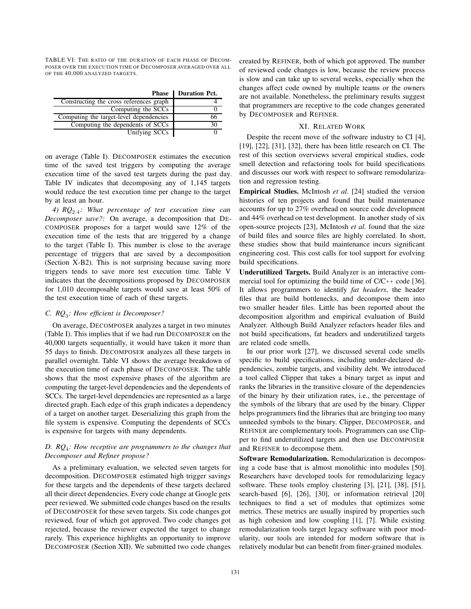TABLE VI: THE RATIO OF THE DURATION OF EACH PHASE OF DECOM-POSER OVER THE EXECUTION TIME OF DECOMPOSER AVERAGED OVER ALL OF THE 40,000 ANALYZED TARGETS.

|                                         | <b>Phase Duration Pct.</b> |
|-----------------------------------------|----------------------------|
| Constructing the cross references graph |                            |
| Computing the SCCs                      |                            |
| Computing the target-level dependencies |                            |
| Computing the dependents of SCCs        |                            |
| Unifying SCCs                           |                            |

on average (Table I). DECOMPOSER estimates the execution time of the saved test triggers by computing the average execution time of the saved test targets during the past day. Table IV indicates that decomposing any of 1,145 targets would reduce the test execution time per change to the target by at least an hour.

*4) RQ*<sup>2</sup>.<sup>4</sup> *: What percentage of test execution time can Decomposer save?:* On average, a decomposition that DE-COMPOSER proposes for a target would save 12% of the execution time of the tests that are triggered by a change to the target (Table I). This number is close to the average percentage of triggers that are saved by a decomposition (Section X-B2). This is not surprising because saving more triggers tends to save more test execution time. Table V indicates that the decompositions proposed by DECOMPOSER for 1,010 decomposable targets would save at least 50% of the test execution time of each of these targets.

# *C. RQ*<sup>3</sup> *: How efficient is Decomposer?*

On average, DECOMPOSER analyzes a target in two minutes (Table I). This implies that if we had run DECOMPOSER on the 40,000 targets sequentially, it would have taken it more than 55 days to finish. DECOMPOSER analyzes all these targets in parallel overnight. Table VI shows the average breakdown of the execution time of each phase of DECOMPOSER. The table shows that the most expensive phases of the algorithm are computing the target-level dependencies and the dependents of SCCs. The target-level dependencies are represented as a large directed graph. Each edge of this graph indicates a dependency of a target on another target. Deserializing this graph from the file system is expensive. Computing the dependents of SCCs is expensive for targets with many dependents.

# *D. RQ*<sup>4</sup> *: How receptive are programmers to the changes that Decomposer and Refiner propose?*

As a preliminary evaluation, we selected seven targets for decomposition. DECOMPOSER estimated high trigger savings for these targets and the dependents of these targets declared all their direct dependencies. Every code change at Google gets peer reviewed. We submitted code changes based on the results of DECOMPOSER for these seven targets. Six code changes got reviewed, four of which got approved. Two code changes got rejected, because the reviewer expected the target to change rarely. This experience highlights an opportunity to improve DECOMPOSER (Section XII). We submitted two code changes created by REFINER, both of which got approved. The number of reviewed code changes is low, because the review process is slow and can take up to several weeks, especially when the changes affect code owned by multiple teams or the owners are not available. Nonetheless, the preliminary results suggest that programmers are receptive to the code changes generated by DECOMPOSER and REFINER.

## XI. RELATED WORK

Despite the recent move of the software industry to CI [4], [19], [22], [31], [32], there has been little research on CI. The rest of this section overviews several empirical studies, code smell detection and refactoring tools for build specifications and discusses our work with respect to software remodularization and regression testing.

Empirical Studies. McIntosh *et al.* [24] studied the version histories of ten projects and found that build maintenance accounts for up to 27% overhead on source code development and 44% overhead on test development. In another study of six open-source projects [23], McIntosh *et al.* found that the size of build files and source files are highly correlated. In short, these studies show that build maintenance incurs significant engineering cost. This cost calls for tool support for evolving build specifications.

Underutilized Targets. Build Analyzer is an interactive commercial tool for optimizing the build time of  $C/C++$  code [36]. It allows programmers to identify *fat headers*, the header files that are build bottlenecks, and decompose them into two smaller header files. Little has been reported about the decomposition algorithm and empirical evaluation of Build Analyzer. Although Build Analyzer refactors header files and not build specifications, fat headers and underutilized targets are related code smells.

In our prior work [27], we discussed several code smells specific to build specifications, including under-declared dependencies, zombie targets, and visibility debt. We introduced a tool called Clipper that takes a binary target as input and ranks the libraries in the transitive closure of the dependencies of the binary by their utilization rates, i.e., the percentage of the symbols of the library that are used by the binary. Clipper helps programmers find the libraries that are bringing too many unneeded symbols to the binary. Clipper, DECOMPOSER, and REFINER are complementary tools. Programmers can use Clipper to find underutilized targets and then use DECOMPOSER and REFINER to decompose them.

Software Remodularization. Remodularization is decomposing a code base that is almost monolithic into modules [50]. Researchers have developed tools for remodularizing legacy software. These tools employ clustering [3], [21], [38], [51], search-based [6], [26], [30], or information retrieval [20] techniques to find a set of modules that optimizes some metrics. These metrics are usually inspired by properties such as high cohesion and low coupling [1], [7]. While existing remodularization tools target legacy software with poor modularity, our tools are intended for modern software that is relatively modular but can benefit from finer-grained modules.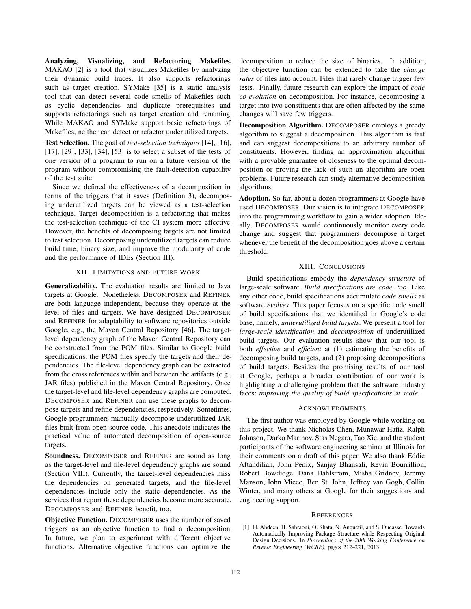Analyzing, Visualizing, and Refactoring Makefiles. MAKAO [2] is a tool that visualizes Makefiles by analyzing their dynamic build traces. It also supports refactorings such as target creation. SYMake [35] is a static analysis tool that can detect several code smells of Makefiles such as cyclic dependencies and duplicate prerequisites and supports refactorings such as target creation and renaming. While MAKAO and SYMake support basic refactorings of Makefiles, neither can detect or refactor underutilized targets.

Test Selection. The goal of *test-selection techniques* [14], [16], [17], [29], [33], [34], [53] is to select a subset of the tests of one version of a program to run on a future version of the program without compromising the fault-detection capability of the test suite.

Since we defined the effectiveness of a decomposition in terms of the triggers that it saves (Definition 3), decomposing underutilized targets can be viewed as a test-selection technique. Target decomposition is a refactoring that makes the test-selection technique of the CI system more effective. However, the benefits of decomposing targets are not limited to test selection. Decomposing underutilized targets can reduce build time, binary size, and improve the modularity of code and the performance of IDEs (Section III).

## XII. LIMITATIONS AND FUTURE WORK

Generalizability. The evaluation results are limited to Java targets at Google. Nonetheless, DECOMPOSER and REFINER are both language independent, because they operate at the level of files and targets. We have designed DECOMPOSER and REFINER for adaptability to software repositories outside Google, e.g., the Maven Central Repository [46]. The targetlevel dependency graph of the Maven Central Repository can be constructed from the POM files. Similar to Google build specifications, the POM files specify the targets and their dependencies. The file-level dependency graph can be extracted from the cross references within and between the artifacts (e.g., JAR files) published in the Maven Central Repository. Once the target-level and file-level dependency graphs are computed, DECOMPOSER and REFINER can use these graphs to decompose targets and refine dependencies, respectively. Sometimes, Google programmers manually decompose underutilized JAR files built from open-source code. This anecdote indicates the practical value of automated decomposition of open-source targets.

Soundness. DECOMPOSER and REFINER are sound as long as the target-level and file-level dependency graphs are sound (Section VIII). Currently, the target-level dependencies miss the dependencies on generated targets, and the file-level dependencies include only the static dependencies. As the services that report these dependencies become more accurate, DECOMPOSER and REFINER benefit, too.

Objective Function. DECOMPOSER uses the number of saved triggers as an objective function to find a decomposition. In future, we plan to experiment with different objective functions. Alternative objective functions can optimize the

decomposition to reduce the size of binaries. In addition, the objective function can be extended to take the *change rates* of files into account. Files that rarely change trigger few tests. Finally, future research can explore the impact of *code co-evolution* on decomposition. For instance, decomposing a target into two constituents that are often affected by the same changes will save few triggers.

Decomposition Algorithm. DECOMPOSER employs a greedy algorithm to suggest a decomposition. This algorithm is fast and can suggest decompositions to an arbitrary number of constituents. However, finding an approximation algorithm with a provable guarantee of closeness to the optimal decomposition or proving the lack of such an algorithm are open problems. Future research can study alternative decomposition algorithms.

Adoption. So far, about a dozen programmers at Google have used DECOMPOSER. Our vision is to integrate DECOMPOSER into the programming workflow to gain a wider adoption. Ideally, DECOMPOSER would continuously monitor every code change and suggest that programmers decompose a target whenever the benefit of the decomposition goes above a certain threshold.

# XIII. CONCLUSIONS

Build specifications embody the *dependency structure* of large-scale software. *Build specifications are code, too.* Like any other code, build specifications accumulate *code smells* as software *evolves*. This paper focuses on a specific code smell of build specifications that we identified in Google's code base, namely, *underutilized build targets*. We present a tool for *large-scale identification* and *decomposition* of underutilized build targets. Our evaluation results show that our tool is both *effective* and *efficient* at (1) estimating the benefits of decomposing build targets, and (2) proposing decompositions of build targets. Besides the promising results of our tool at Google, perhaps a broader contribution of our work is highlighting a challenging problem that the software industry faces: *improving the quality of build specifications at scale*.

## **ACKNOWLEDGMENTS**

The first author was employed by Google while working on this project. We thank Nicholas Chen, Munawar Hafiz, Ralph Johnson, Darko Marinov, Stas Negara, Tao Xie, and the student participants of the software engineering seminar at Illinois for their comments on a draft of this paper. We also thank Eddie Aftandilian, John Penix, Sanjay Bhansali, Kevin Bourrillion, Robert Bowdidge, Dana Dahlstrom, Misha Gridnev, Jeremy Manson, John Micco, Ben St. John, Jeffrey van Gogh, Collin Winter, and many others at Google for their suggestions and engineering support.

#### **REFERENCES**

[1] H. Abdeen, H. Sahraoui, O. Shata, N. Anquetil, and S. Ducasse. Towards Automatically Improving Package Structure while Respecting Original Design Decisions. In *Proceedings of the 20th Working Conference on Reverse Engineering (WCRE)*, pages 212–221, 2013.